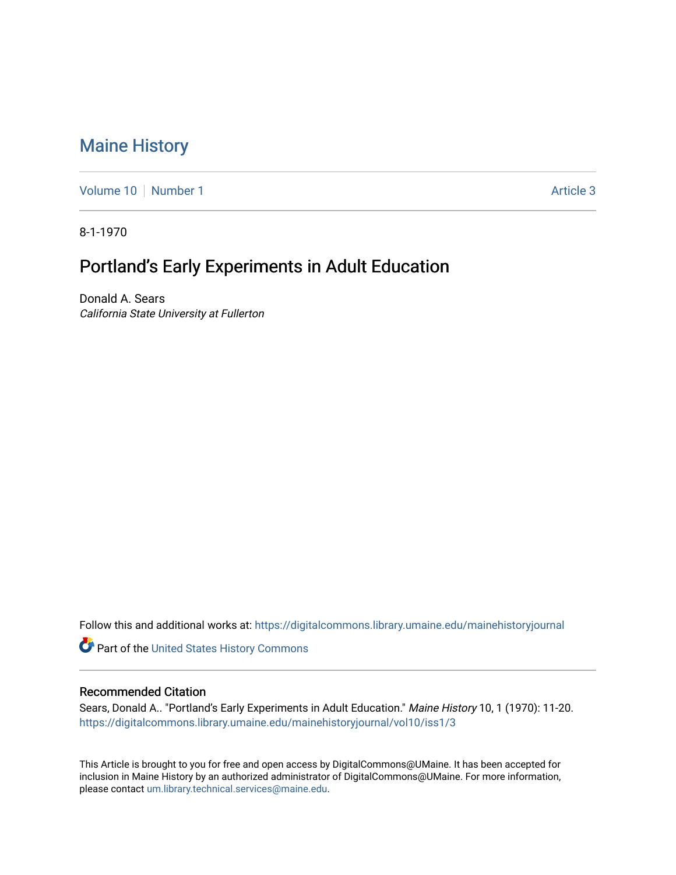## [Maine History](https://digitalcommons.library.umaine.edu/mainehistoryjournal)

[Volume 10](https://digitalcommons.library.umaine.edu/mainehistoryjournal/vol10) [Number 1](https://digitalcommons.library.umaine.edu/mainehistoryjournal/vol10/iss1) Article 3

8-1-1970

## Portland's Early Experiments in Adult Education

Donald A. Sears California State University at Fullerton

Follow this and additional works at: [https://digitalcommons.library.umaine.edu/mainehistoryjournal](https://digitalcommons.library.umaine.edu/mainehistoryjournal?utm_source=digitalcommons.library.umaine.edu%2Fmainehistoryjournal%2Fvol10%2Fiss1%2F3&utm_medium=PDF&utm_campaign=PDFCoverPages) 

Part of the [United States History Commons](http://network.bepress.com/hgg/discipline/495?utm_source=digitalcommons.library.umaine.edu%2Fmainehistoryjournal%2Fvol10%2Fiss1%2F3&utm_medium=PDF&utm_campaign=PDFCoverPages) 

## Recommended Citation

Sears, Donald A.. "Portland's Early Experiments in Adult Education." Maine History 10, 1 (1970): 11-20. [https://digitalcommons.library.umaine.edu/mainehistoryjournal/vol10/iss1/3](https://digitalcommons.library.umaine.edu/mainehistoryjournal/vol10/iss1/3?utm_source=digitalcommons.library.umaine.edu%2Fmainehistoryjournal%2Fvol10%2Fiss1%2F3&utm_medium=PDF&utm_campaign=PDFCoverPages)

This Article is brought to you for free and open access by DigitalCommons@UMaine. It has been accepted for inclusion in Maine History by an authorized administrator of DigitalCommons@UMaine. For more information, please contact [um.library.technical.services@maine.edu.](mailto:um.library.technical.services@maine.edu)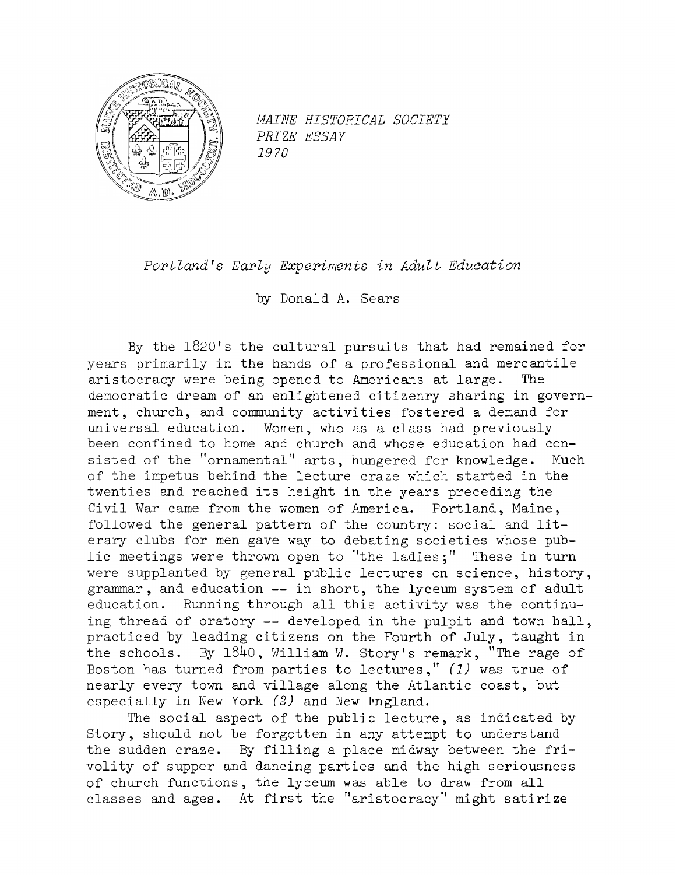

*MAINE HISTORICAL SOCIETY PRIZE ESSAY 1970*

*Portland\*s Early Experiments in Adult Education*

by Donald A. Sears

By the <sup>1820</sup>'<sup>s</sup> the cultural pursuits that had remained for years primarily in the hands of <sup>a</sup> professional and mercantile aristocracy were being opened to Americans at large. The democratic dream of an enlightened citizenry sharing in government, church, and community activities fostered <sup>a</sup> demand for universal education. Women, who as a class had previously been confined to home and church and whose education had consisted of the "ornamental" arts, hungered for knowledge. Much of the impetus behind the lecture craze which started in the twenties and reached its height in the years preceding the Civil War came from the women of America. Portland, Maine, followed the general pattern of the country: social and literary clubs for men gave way to debating societies whose public meetings were thrown open to "the ladies;" These in turn were supplanted by general public lectures on science, history, grammar, and education — in short, the lyceum system of adult education. Running through all this activity was the continuing thread of oratory -- developed in the pulpit and town hall, practiced by leading citizens on the Fourth of July, taught in the schools. By 1840, William W. Story's remark, "The rage of Boston has turned from parties to lectures," *(1)* was true of nearly every town and village along the Atlantic coast, but especially in New York *(2)* and New England.

The social aspect of the public lecture, as indicated by Story, should not be forgotten in any attempt to understand the sudden craze. By filling <sup>a</sup> place midway between the frivolity of supper and dancing parties and the high seriousness of church functions, the lyceum was able to draw from all classes and ages. At first the "aristocracy" might satirize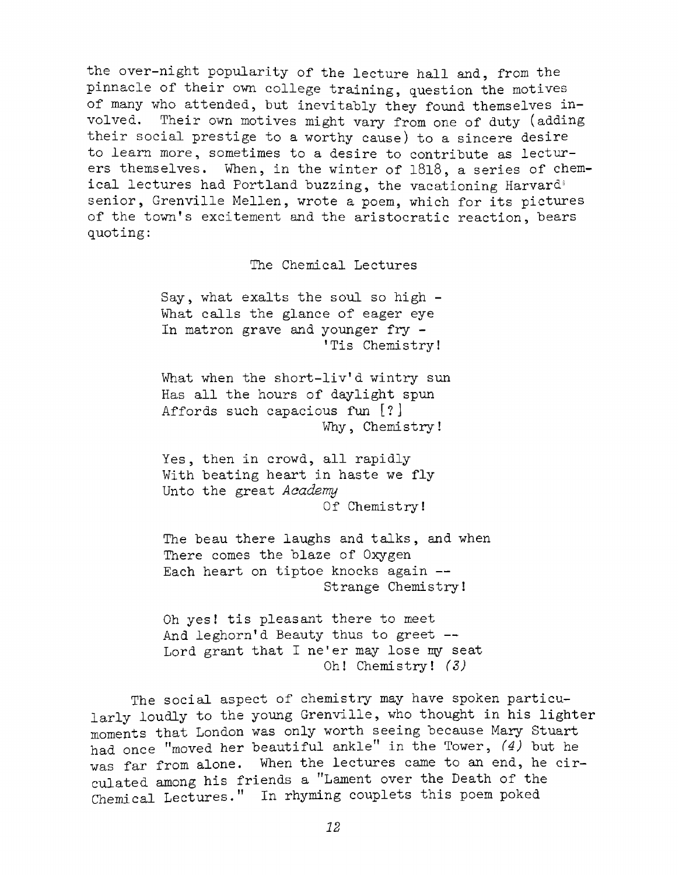the over-night popularity of the lecture hall and, from the pinnacle of their own college training, question the motives of many who attended, hut inevitably they found themselves involved. Their own motives might vary from one of duty (adding their social prestige to a worthy cause) to <sup>a</sup> sincere desire to learn more, sometimes to a desire to contribute as lecturers themselves. When, in the winter of 1818, <sup>a</sup> series of chemical lectures had Portland buzzing, the vacationing Harvard<sup>®</sup> senior, Grenville Mellen, wrote a poem, which for its pictures of the town'<sup>s</sup> excitement and the aristocratic reaction, bears quoting:

The Chemical Lectures

Say, what exalts the soul so high - What calls the glance of eager eye In matron grave and younger fry - 'Tis Chemistry!

What when the short-liv'<sup>d</sup> wintry sun Has all the hours of daylight spun Affords such capacious fun [?] Why, Chemistry!

Yes, then in crowd, all rapidly With beating heart in haste we fly Unto the great *Academy* Of Chemistry!

The beau there laughs and talks, and when There comes the blaze of Oxygen Each heart on tiptoe knocks again — Strange Chemistry!

Oh yes! tis pleasant there to meet And leghorn'd Beauty thus to greet --Lord grant that <sup>I</sup> ne'er may lose my seat Oh! Chemistry! *(S)*

The social aspect of chemistry may have spoken particularly loudly to the young Grenville, who thought in his lighter moments that London was only worth seeing because Mary Stuart had once ''moved her beautiful ankle" in the Tower, *(4)* but he was far from alone. When the lectures came to an end, he circulated among his friends a "Lament over the Death of the Chemical Lectures." In rhyming couplets this poem poked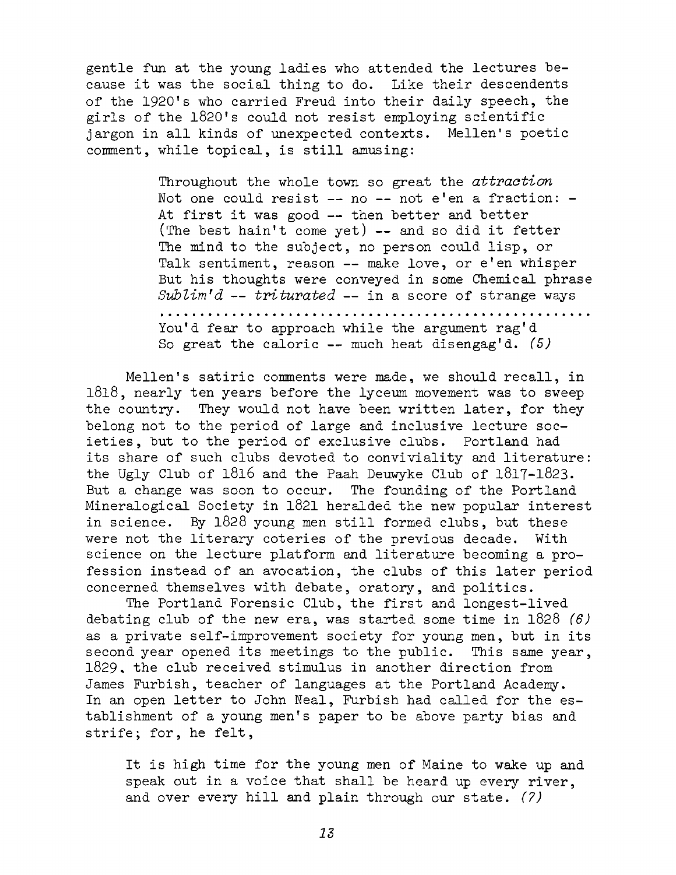gentle fun at the young ladies who attended the lectures because it was the social thing to do. Like their descendents of the <sup>1920</sup>'<sup>s</sup> who carried Freud into their daily speech, the girls of the <sup>1820</sup>'<sup>s</sup> could not resist employing scientific jargon in all kinds of unexpected contexts. Mellen'<sup>s</sup> poetic comment, while topical, is still amusing:

> Throughout the whole town so great the *attraction* Not one could resist -- no -- not e'en a fraction: -At first it was good — then better and better (The best hain'<sup>t</sup> come yet) — and so did it fetter The mind to the subject, no person could lisp, or Talk sentiment, reason — make love, or <sup>e</sup>'en whisper But his thoughts were conveyed in some Chemical phrase *SubZim\*d — triturated —* in a score of strange ways You'<sup>d</sup> fear to approach while the argument rag'<sup>d</sup> So great the caloric — much heat disengag'd. *(5)*

Mellen'<sup>s</sup> satiric comments were made, we should recall, in 1818, nearly ten years before the lyceum movement was to sweep the country. They would not have been written later, for they belong not to the period of large and inclusive lecture societies, but to the period of exclusive clubs. Portland had its share of such clubs devoted to conviviality and literature: the Ugly Club of 1816 and the Paah Deuwyke Club of 1817-1823. But <sup>a</sup> change was soon to occur. The founding of the Portland Mineralogical Society in 1821 heralded the new popular interest in science. By <sup>1828</sup> young men still formed clubs, but these were not the literary coteries of the previous decade. With science on the lecture platform and literature becoming a profession instead of an avocation, the clubs of this later period concerned themselves with debate, oratory, and politics.

The Portland Forensic Club, the first and longest-lived debating club of the new era, was started some time in 1828 *(6)* as <sup>a</sup> private self-improvement society for young men, but in its second year opened its meetings to the public. This same year, 1829, the club received stimulus in another direction from James Furbish, teacher of languages at the Portland Academy. In an open letter to John Neal, Furbish had called for the establishment of <sup>a</sup> young men'<sup>s</sup> paper to be above party bias and strife; for, he felt,

It is high time for the young men of Maine to wake up and speak out in <sup>a</sup> voice that shall be heard up every river, and over every hill and plain through our state. (?)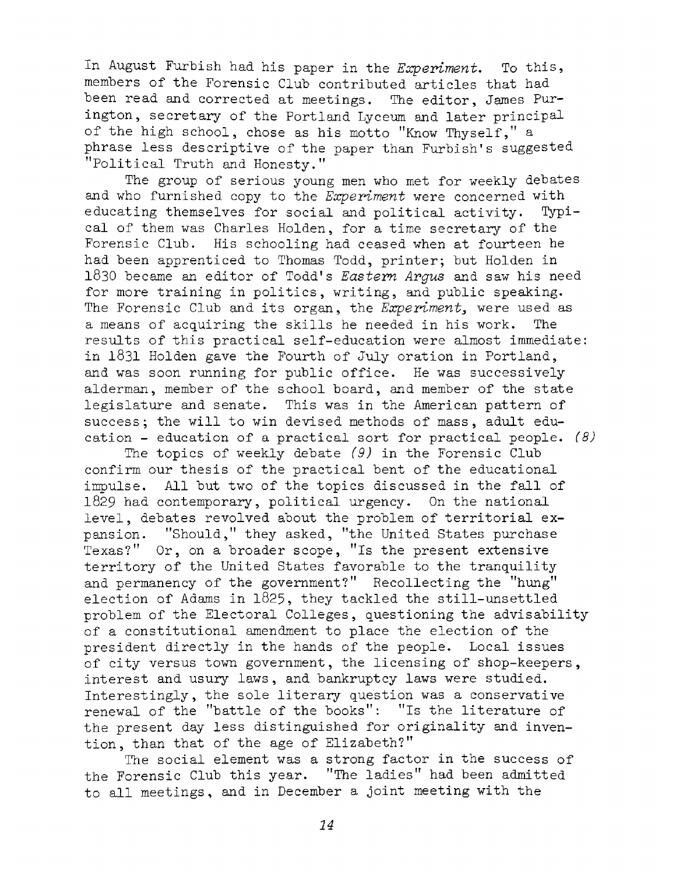In August Furbish had his paper in the *Experiment*. To this, members of the Forensic Club contributed articles that had been read and corrected at meetings. The editor, James Purington, secretary of the Portland Lyceum and later principal of the high school, chose as his motto ''Know Thyself," <sup>a</sup> phrase less descriptive of the paper than Furbish's suggested "Political Truth and Honesty."

The group of serious young men who met for weekly debates and who furnished copy to the *Experiment* were concerned with educating themselves for social and political activity. Typical of them was Charles Holden, for a time secretary of the Forensic Club. His schooling had ceased when at fourteen he had been apprenticed to Thomas Todd, printer; but Holden in 1830 be came an editor of Todd\*s *Eastern Argus* and saw his need for more training in politics, writing, and public speaking. The Forensic Club and its organ, the *Experiment^* were used as <sup>a</sup> means of acquiring the skills he needed in his work. The results of this practical self-education were almost immediate: in 1831 Holden gave the Fourth of July oration in Portland, and was soon running for public office. He was successively alderman, member of the school board, and member of the state legislature and senate. This was in the American pattern of success; the will to win devised methods of mass, adult education - education of <sup>a</sup> practical sort for practical people. *(8)*

The topics of weekly debate *(9)* in the Forensic Club confirm our thesis of the practical bent of the educational impulse. All but two of the topics discussed in the fall of <sup>1829</sup> had contemporary, political urgency. On the national level, debates revolved about the problem of territorial expansion. "Should," they asked, "the United States purchase Texas?" Or, on a broader scope, "Is the present extensive territory of the United States favorable to the tranquility and permanency of the government?" Recollecting the "hung" election of Adams in 1825, they tackled the still-unsettled problem of the Electoral Colleges, questioning the advisability of a constitutional amendment to place the election of the president directly in the hands of the people. Local issues of city versus town government, the licensing of shop-keepers, interest and usury laws, and bankruptcy laws were studied. Interestingly, the sole literary question was <sup>a</sup> conservative renewal of the "battle of the books": "Is the literature of the present day less distinguished for originality and invention, than that of the age of Elizabeth?"

The social element was <sup>a</sup> strong factor in the success of the Forensic Club this year. "The ladies" had been admitted to all meetings, and in December <sup>a</sup> joint meeting with the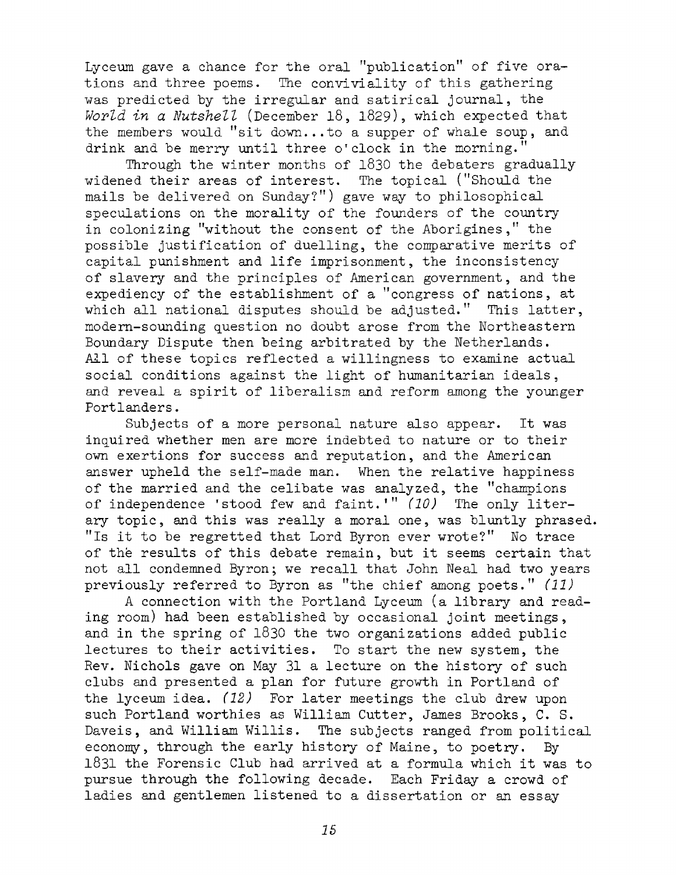Lyceum gave <sup>a</sup> chance for the oral "publication" of five orations and three poems. The conviviality of this gathering was predicted by the irregular and satirical journal, the *World in a Nutshell* (December 18, 1829), which expected that the members would "sit down...to <sup>a</sup> supper of whale soup, and drink and be merry until three o' clock in the morning."

Through the winter months of 1830 the debaters gradually widened their areas of interest. The topical ("Should the mails be delivered on Sunday?") gave way to philosophical speculations on the morality of the founders of the country in colonizing "without the consent of the Aborigines," the possible justification of duelling, the comparative merits of capital punishment and life imprisonment, the inconsistency of slavery and the principles of American government, and the expediency of the establishment of <sup>a</sup> "congress of nations, at which all national disputes should be adjusted." This latter, modern-sounding question no doubt arose from the Northeastern Boundary Dispute then being arbitrated by the Netherlands. All of these topics reflected a willingness to examine actual social conditions against the light of humanitarian ideals, and reveal <sup>a</sup> spirit of liberalism and reform among the younger Portlanders.

Subjects of <sup>a</sup> more personal nature also appear. It was inquired whether men are more indebted to nature or to their own exertions for success and reputation, and the American answer upheld the self-made man. When the relative happiness of the married and the celibate was analyzed, the "champions of independence 'stood few and faint.1" *(10)* The only literary topic, and this was really a moral one, was bluntly phrased. "Is it to be regretted that Lord Byron ever wrote?" No trace of the results of this debate remain, but it seems certain that not all condemned Byron; we recall that John Neal had two years previously referred to Byron as "the chief among poets." *(11)*

*<sup>A</sup>* connection with the Portland Lyceum (a library and reading room) had been established by occasional joint meetings, and in the spring of <sup>1830</sup> the two organizations added public lectures to their activities. To start the new system, the Rev. Nichols gave on May <sup>31</sup> <sup>a</sup> lecture on the history of such clubs and presented a plan for future growth in Portland of the lyceum idea. *(12)* For later meetings the club drew upon such Portland worthies as William Cutter, James Brooks, C. S. Daveis, and William Willis. The subjects ranged from political economy, through the early history of Maine, to poetry. By <sup>1831</sup> the Forensic Club had arrived at <sup>a</sup> formula which it was to pursue through the following decade. Each Friday a crowd of ladies and gentlemen listened to a dissertation or an essay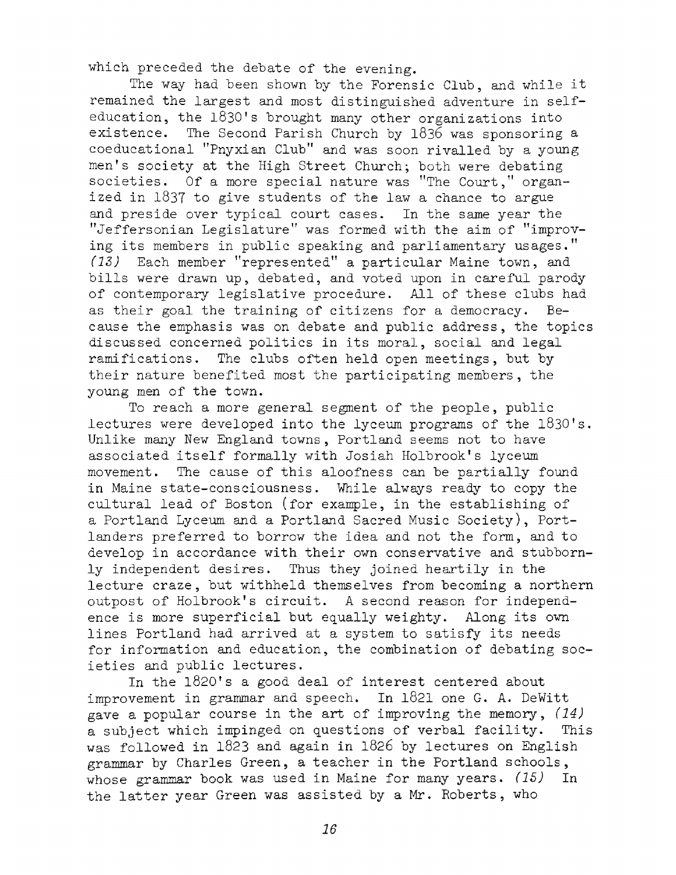which preceded the debate of the evening.

The way had been shown by the Forensic Club, and while it remained the largest and most distinguished adventure in selfeducation, the 1830's brought many other organizations into existence. The Second Parish Church by 1836 was sponsoring a coeducational "Pnyxian Club" and was soon rivalled by <sup>a</sup> young men's society at the High Street Church; both were debating societies. Of a more special nature was "The Court," organized in 1837 to give students of the law <sup>a</sup> chance to argue and preside over typical court cases. In the same year the ''Jeffersonian Legislature" was formed with the aim of "improving its members in public speaking and parliamentary usages." *(13)* Each member "represented" a particular Maine town, and bills were drawn up, debated, and voted upon in careful parody of contemporary legislative procedure. All of these clubs had as their goal the training of citizens for a democracy. Because the emphasis was on debate and public address, the topics discussed concerned politics in its moral, social and legal ramifications. The clubs often held open meetings, but by their nature benefited most the participating members, the young men of the town.

To reach a more general segment of the people, public lectures were developed into the lyceum programs of the 1830's. Unlike many New England towns, Portland seems not to have associated itself formally with Josiah Holbrook's lyceum movement. The cause of this aloofness can be partially found in Maine state-consciousness. While always ready to copy the cultural lead of Boston (for example, in the establishing of a Portland Lyceum and a Portland Sacred Music Society), Portlanders preferred to borrow the idea and not the form, and to develop in accordance with their own conservative and stubbornly independent desires. Thus they joined heartily in the lecture craze, but withheld themselves from becoming a northern outpost of Holbrook's circuit. <sup>A</sup> second reason for independence is more superficial but equally weighty. Along its own lines Portland had arrived at <sup>a</sup> system to satisfy its needs for information and education, the combination of debating societies and public lectures.

In the 1820's a good deal of interest centered about improvement in grammar and speech. In 1821 one G. A. DeWitt gave <sup>a</sup> popular course in the art of improving the memory, *(14)* <sup>a</sup> subject which impinged on questions of verbal facility. This was followed in 1823 and again in 1826 by lectures on English grammar by Charles Green, a teacher in the Portland schools, whose grammar book was used in Maine for many years. *(15)* In the latter year Green was assisted by <sup>a</sup> Mr. Roberts, who

*16*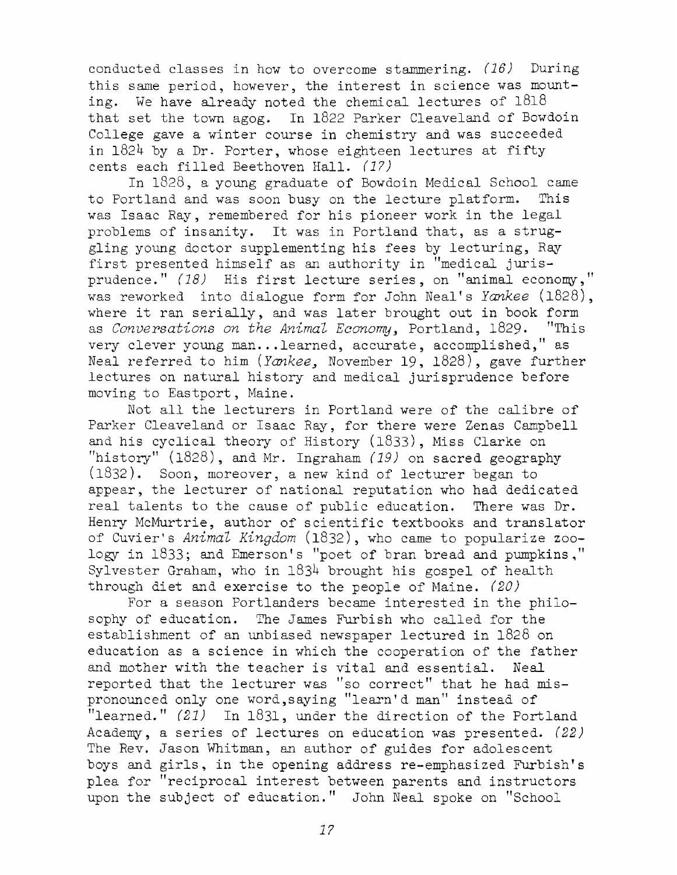conducted classes in how to overcome stammering. *(16)* During this same period, however, the interest in science was mounting. We have already noted the chemical lectures of 1818 that set the town agog. In <sup>1822</sup> Parker Cleaveland of Bowdoin College gave a winter course in chemistry and was succeeded in 182H by <sup>a</sup> Dr. Porter, whose eighteen lectures at fifty cents each filled Beethoven Hall. *(17)*

In 1828, <sup>a</sup> young graduate of Bowdoin Medical School came to Portland and was soon busy on the lecture platform. This was Isaac Ray, remembered for his pioneer work in the legal problems of insanity. It was in Portland that, as <sup>a</sup> struggling young doctor supplementing his fees by lecturing, Ray first presented himself as an authority in "medical jurisprudence." *(18)* His first lecture series, on "animal economy," was reworked into dialogue form for John Neal'<sup>s</sup> *Yankee* (1828), where it ran serially, and was later brought out in book form as *Conversations on the Animal Economy.,* Portland, 1829. "This very clever young man...learned, accurate, accomplished," as Neal referred to him *(Yankee*, November 19, 1828), gave further lectures on natural history and medical jurisprudence before moving to Eastport, Maine.

Not all the lecturers in Portland were of the calibre of Parker Cleaveland or Isaac Ray, for there were Zenas Campbell and his cyclical theory of History (1833), Miss Clarke on "history" (1828), and Mr. Ingraham *(19)* on sacred geography (1832). Soon, moreover, a new kind of lecturer began to appear, the lecturer of national reputation who had dedicated real talents to the cause of public education. There was Dr. Henry McMurtrie, author of scientific textbooks and translator of Cuvier'<sup>s</sup> *Animal Kingdom* (1832), who came to popularize zoology in 1833; and Emerson'<sup>s</sup> "poet of bran bread and pumpkins," Sylvester Graham, who in  $1834$  brought his gospel of health through diet and exercise to the people of Maine. *(20)*

For a season Portlanders became interested in the philosophy of education. The James Furbish who called for the establishment of an unbiased newspaper lectured in 1828 on education as <sup>a</sup> science in which the cooperation of the father and mother with the teacher is vital and essential. Neal reported that the lecturer was "so correct" that he had mispronounced only one word, saying "learn'd man" instead of "learned." *(21)* In 1831, under the direction of the Portland Academy, a series of lectures on education was presented. *(22)* The Rev. Jason Whitman, an author of guides for adolescent boys and girls, in the opening address re-emphasized Furbish'<sup>s</sup> plea for "reciprocal interest between parents and instructors upon the subject of education." John Neal spoke on "School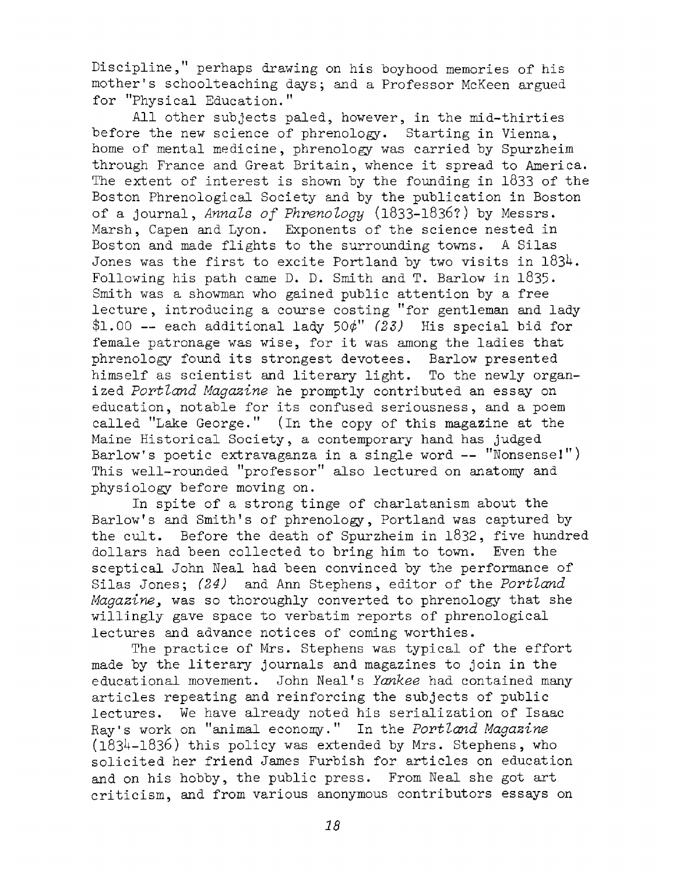Discipline," perhaps drawing on his hoyhood memories of his mother's schoolteaching days; and a Professor McKeen argued for ''Physical Education."

All other subjects paled, however, in the mid-thirties before the new science of phrenology. Starting in Vienna, home of mental medicine, phrenology was carried by Spurzheim through France and Great Britain, whence it spread to America. The extent of interest is shown by the founding in 1833 of the Boston Phrenological Society and by the publication in Boston of <sup>a</sup> journal, *Annals of Phrenology* (1833-1836?) by Messrs. Marsh, Capen and Lyon. Exponents of the science nested in Boston and made flights to the surrounding towns. <sup>A</sup> Silas Jones was the first to excite Portland by two visits in  $1834$ . Following his path came D. D. Smith and T. Barlow in  $1835$ . Smith was a showman who gained public attention by a free lecture, introducing <sup>a</sup> course costing "for gentleman and lady \$1.00 — each additional lady 50^" *(23)* His special bid for female patronage was wise, for it was among the ladies that phrenology found its strongest devotees. Barlow presented himself as scientist and literary light. To the newly organized *Portland Magazine* he promptly contributed an essay on education, notable for its confused seriousness, and a poem called "Lake George." (In the copy of this magazine at the Maine Historical Society, a contemporary hand has judged Barlow's poetic extravaganza in a single word — "Nonsense!") This well-rounded "professor" also lectured on anatomy and physiology before moving on.

In spite of <sup>a</sup> strong tinge of charlatanism about the Barlow'<sup>s</sup> and Smith'<sup>s</sup> of phrenology, Portland was captured by the cult. Before the death of Spurzheim in 1832, five hundred dollars had been collected to bring him to town. Even the sceptical John Neal had been convinced by the performance of Silas Jones; *(24)* and Ann Stephens, editor of the *Portland Magazine*, was so thoroughly converted to phrenology that she willingly gave space to verbatim reports of phrenological lectures and advance notices of coming worthies.

The practice of Mrs. Stephens was typical of the effort made by the literary journals and magazines to join in the educational movement. John Neal'<sup>s</sup> *Yankee* had contained many articles repeating and reinforcing the subjects of public lectures. We have already noted his serialization of Isaac Ray's work on "animal econony." In the *Portland Magazine*  $(1834-1836)$  this policy was extended by Mrs. Stephens, who solicited her friend James Furbish for articles on education and on his hobby, the public press. From Neal she got art criticism, and from various anonymous contributors essays on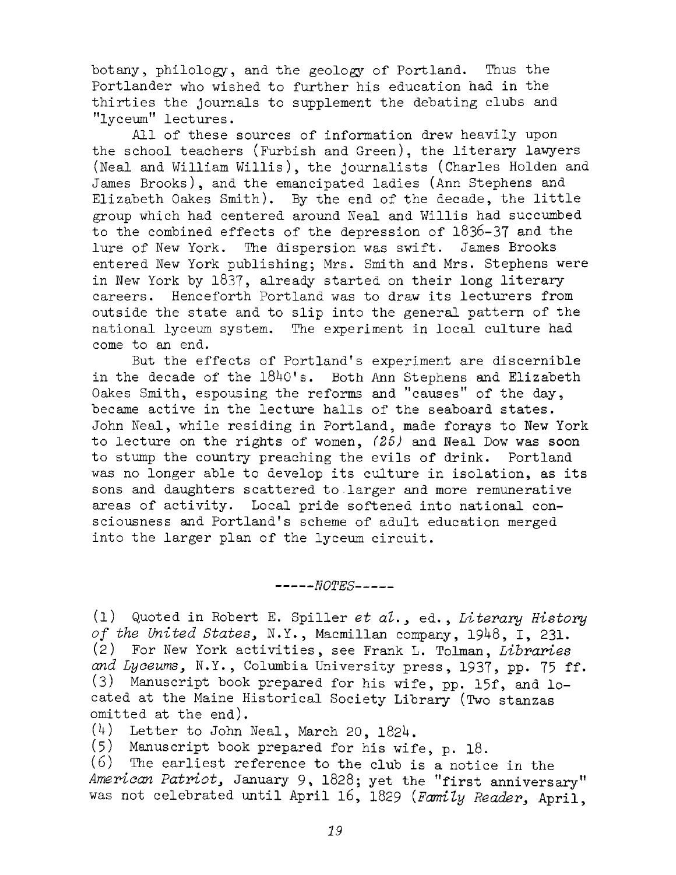botany, philology, and the geology of Portland. Thus the Portlander who wished to further his education had in the thirties the journals to supplement the debating clubs and ''lyceum" lectures.

All of these sources of information drew heavily upon the school teachers (Furbish and Green), the literary lawyers (Neal and William Willis), the journalists (Charles Holden and James Brooks), and the emancipated ladies (Ann Stephens and Elizabeth Oakes Smith). By the end of the decade, the little group which had centered around Neal and Willis had succumbed to the combined effects of the depression of 1836-37 and the lure of New York. The dispersion was swift. James Brooks entered New York publishing; Mrs. Smith and Mrs. Stephens were in New York by 1837, already started on their long literary careers. Henceforth Portland was to draw its lecturers from outside the state and to slip into the general pattern of the national lyceum system. The experiment in local culture had come to an end.

But the effects of Portland's experiment are discernible in the decade of the  $1840$ 's. Both Ann Stephens and Elizabeth Oakes Smith, espousing the reforms and "causes" of the day, became active in the lecture halls of the seaboard states. John Neal, while residing in Portland, made forays to New York to lecture on the rights of women, *(25)* and Neal Dow was soon to stump the country preaching the evils of drink. Portland was no longer able to develop its culture in isolation, as its sons and daughters scattered to larger and more remunerative areas of activity. Local pride softened into national consciousness and Portland'<sup>s</sup> scheme of adult education merged into the larger plan of the lyceum circuit.

*---------NOTES---------*

(1) Quoted in Robert E. Spiller *et al.,* ed., *Literary History of the United States,* N.Y., Macmillan company, 19^+8, I, 231. (2) For New York activities, see Frank L. Tolman, *Libraries* and Lyceums, N.Y., Columbia University press, 1937, pp. 75 ff. (3) Manuscript book prepared for his wife, pp. 15f, and located at the Maine Historical Society Library (Two stanzas omitted at the end).

(4) Letter to John Neal, March 20, I82U.

(5) Manuscript book prepared for his wife, p. 18.

(6) The earliest reference to the club is a notice in the *American Patriot,* January 9, 1828; yet the "first anniversary" was not celebrated until April 16, 1829 *{Family Reader,* April,